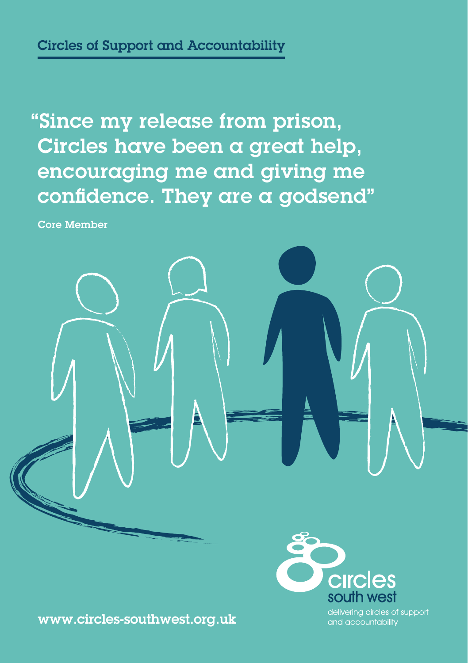"Since my release from prison, Circles have been a great help, encouraging me and giving me confidence. They are a godsend"

Core Member





and accountability

www.circles-southwest.org.uk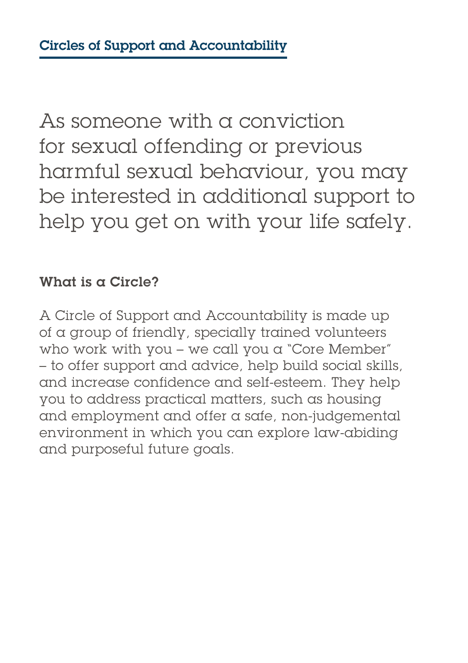As someone with a conviction for sexual offending or previous harmful sexual behaviour, you may be interested in additional support to help you get on with your life safely.

# What is a Circle?

A Circle of Support and Accountability is made up of a group of friendly, specially trained volunteers who work with you – we call you a "Core Member" – to offer support and advice, help build social skills, and increase confidence and self-esteem. They help you to address practical matters, such as housing and employment and offer a safe, non-judgemental environment in which you can explore law-abiding and purposeful future goals.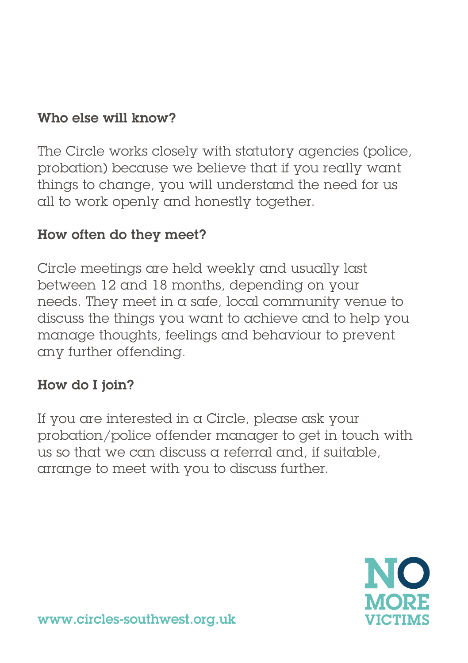# Who else will know?

The Circle works closely with statutory agencies (police, probation) because we believe that if you really want things to change, you will understand the need for us all to work openly and honestly together.

# How often do they meet?

Circle meetings are held weekly and usually last between 12 and 18 months, depending on your needs. They meet in a safe, local community venue to discuss the things you want to achieve and to help you manage thoughts, feelings and behaviour to prevent any further offending.

# How do I join?

If you are interested in a Circle, please ask your probation/police offender manager to get in touch with us so that we can discuss a referral and, if suitable, arrange to meet with you to discuss further.